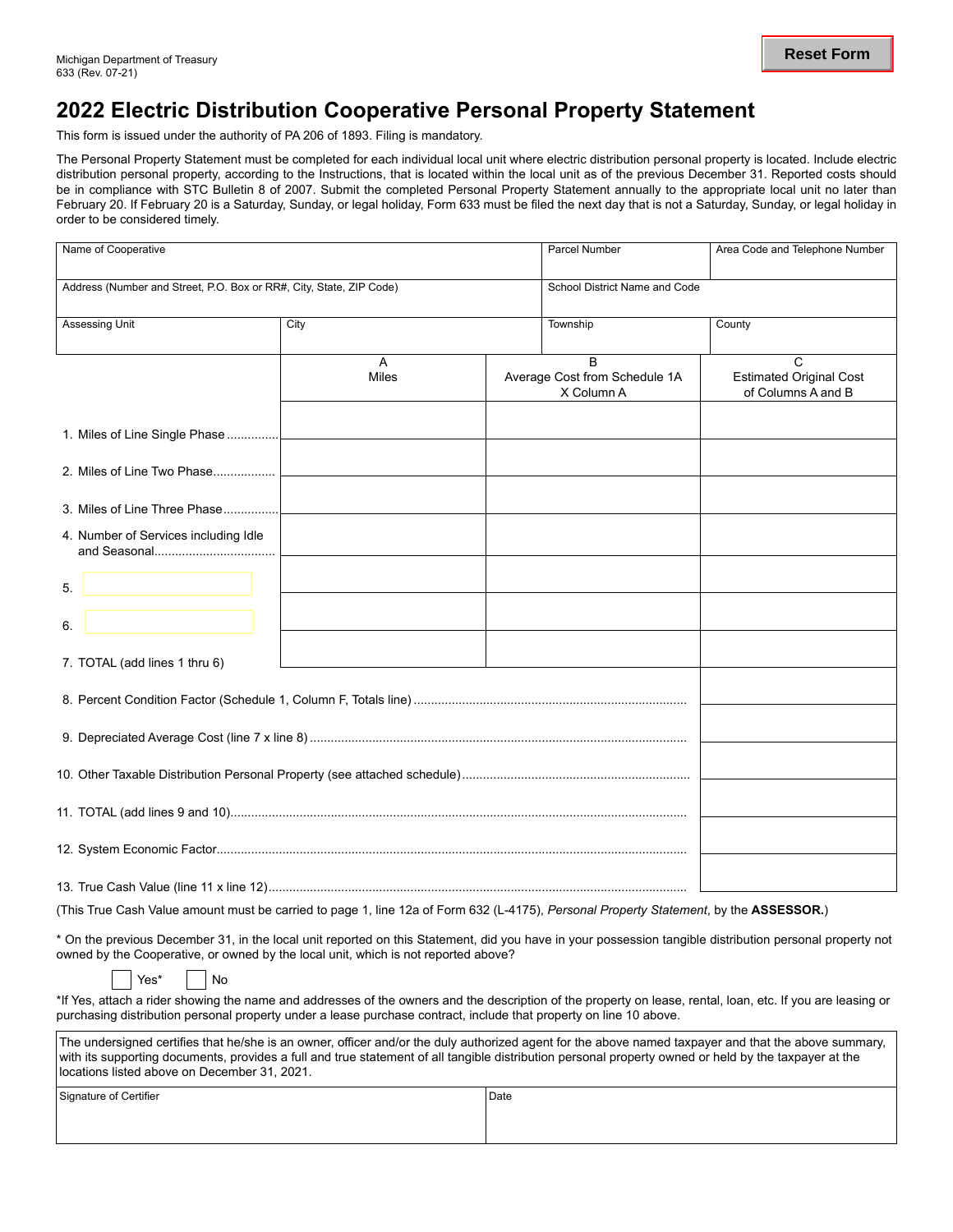## **2022 Electric Distribution Cooperative Personal Property Statement**

This form is issued under the authority of PA 206 of 1893. Filing is mandatory.

The Personal Property Statement must be completed for each individual local unit where electric distribution personal property is located. Include electric distribution personal property, according to the Instructions, that is located within the local unit as of the previous December 31. Reported costs should be in compliance with STC Bulletin 8 of 2007. Submit the completed Personal Property Statement annually to the appropriate local unit no later than February 20. If February 20 is a Saturday, Sunday, or legal holiday, Form 633 must be filed the next day that is not a Saturday, Sunday, or legal holiday in order to be considered timely.

| Name of Cooperative                                                                                                                                      |                   | Parcel Number                                    | Area Code and Telephone Number                            |  |  |  |  |
|----------------------------------------------------------------------------------------------------------------------------------------------------------|-------------------|--------------------------------------------------|-----------------------------------------------------------|--|--|--|--|
| Address (Number and Street, P.O. Box or RR#, City, State, ZIP Code)                                                                                      |                   |                                                  | School District Name and Code                             |  |  |  |  |
| Assessing Unit                                                                                                                                           | City              | Township                                         | County                                                    |  |  |  |  |
|                                                                                                                                                          | A<br><b>Miles</b> | B<br>Average Cost from Schedule 1A<br>X Column A | C<br><b>Estimated Original Cost</b><br>of Columns A and B |  |  |  |  |
| 1. Miles of Line Single Phase                                                                                                                            |                   |                                                  |                                                           |  |  |  |  |
| 2. Miles of Line Two Phase                                                                                                                               |                   |                                                  |                                                           |  |  |  |  |
| 3. Miles of Line Three Phase                                                                                                                             |                   |                                                  |                                                           |  |  |  |  |
| 4. Number of Services including Idle                                                                                                                     |                   |                                                  |                                                           |  |  |  |  |
| 5.                                                                                                                                                       |                   |                                                  |                                                           |  |  |  |  |
| 6.                                                                                                                                                       |                   |                                                  |                                                           |  |  |  |  |
| 7. TOTAL (add lines 1 thru 6)                                                                                                                            |                   |                                                  |                                                           |  |  |  |  |
|                                                                                                                                                          |                   |                                                  |                                                           |  |  |  |  |
|                                                                                                                                                          |                   |                                                  |                                                           |  |  |  |  |
|                                                                                                                                                          |                   |                                                  |                                                           |  |  |  |  |
|                                                                                                                                                          |                   |                                                  |                                                           |  |  |  |  |
|                                                                                                                                                          |                   |                                                  |                                                           |  |  |  |  |
|                                                                                                                                                          |                   |                                                  |                                                           |  |  |  |  |
| (This True Cash Value amount must be carried to page 1, line 12a of Form 632 (L-4175), Personal Property Statement, by the ASSESSOR.)                    |                   |                                                  |                                                           |  |  |  |  |
| * On the previous December 31, in the local unit reported on this Statement, did you have in your possession tangible distribution personal property not |                   |                                                  |                                                           |  |  |  |  |

owned by the Cooperative, or owned by the local unit, which is not reported above?

#### $Yes^*$  | | No

\*If Yes, attach a rider showing the name and addresses of the owners and the description of the property on lease, rental, loan, etc. If you are leasing or purchasing distribution personal property under a lease purchase contract, include that property on line 10 above.

| The undersigned certifies that he/she is an owner, officer and/or the duly authorized agent for the above named taxpayer and that the above summary,<br>with its supporting documents, provides a full and true statement of all tangible distribution personal property owned or held by the taxpayer at the<br>Ilocations listed above on December 31, 2021. |      |  |  |  |  |  |  |
|----------------------------------------------------------------------------------------------------------------------------------------------------------------------------------------------------------------------------------------------------------------------------------------------------------------------------------------------------------------|------|--|--|--|--|--|--|
| l Signature of Certifier                                                                                                                                                                                                                                                                                                                                       | Date |  |  |  |  |  |  |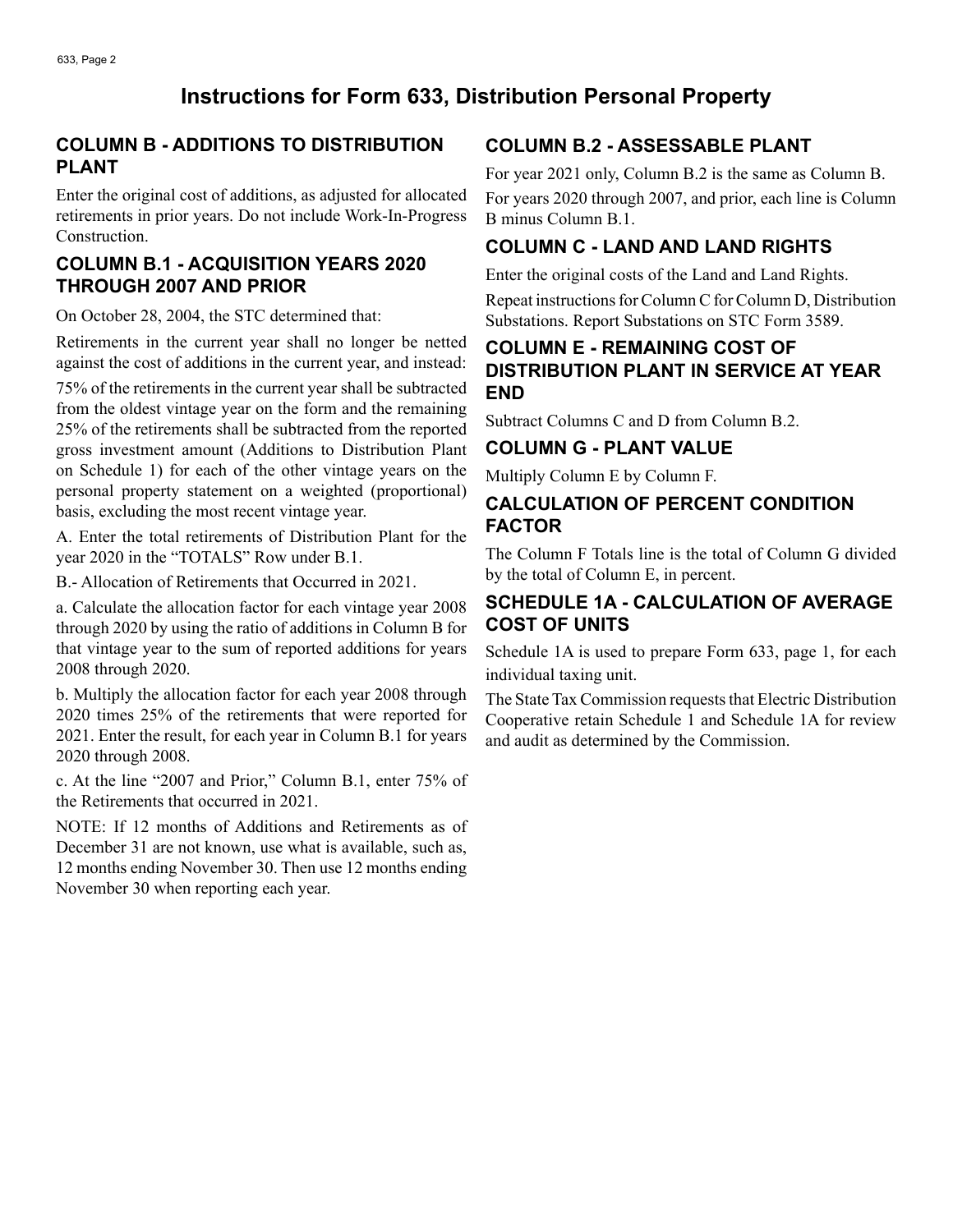# **Instructions for Form 633, Distribution Personal Property**

#### **COLUMN B - ADDITIONS TO DISTRIBUTION PLANT**

Enter the original cost of additions, as adjusted for allocated retirements in prior years. Do not include Work-In-Progress Construction.

#### **COLUMN B.1 - ACQUISITION YEARS 2020 THROUGH 2007 AND PRIOR**

On October 28, 2004, the STC determined that:

Retirements in the current year shall no longer be netted against the cost of additions in the current year, and instead: 75% of the retirements in the current year shall be subtracted from the oldest vintage year on the form and the remaining

25% of the retirements shall be subtracted from the reported gross investment amount (Additions to Distribution Plant on Schedule 1) for each of the other vintage years on the personal property statement on a weighted (proportional) basis, excluding the most recent vintage year.

A. Enter the total retirements of Distribution Plant for the year 2020 in the "TOTALS" Row under B.1.

B.- Allocation of Retirements that Occurred in 2021.

a. Calculate the allocation factor for each vintage year 2008 through 2020 by using the ratio of additions in Column B for that vintage year to the sum of reported additions for years 2008 through 2020.

b. Multiply the allocation factor for each year 2008 through 2020 times 25% of the retirements that were reported for 2021. Enter the result, for each year in Column B.1 for years 2020 through 2008.

c. At the line "2007 and Prior," Column B.1, enter 75% of the Retirements that occurred in 2021.

NOTE: If 12 months of Additions and Retirements as of December 31 are not known, use what is available, such as, 12 months ending November 30. Then use 12 months ending November 30 when reporting each year.

#### **COLUMN B.2 - ASSESSABLE PLANT**

For year 2021 only, Column B.2 is the same as Column B. For years 2020 through 2007, and prior, each line is Column B minus Column B.1.

### **COLUMN C - LAND AND LAND RIGHTS**

Enter the original costs of the Land and Land Rights.

Repeat instructions for Column C for Column D, Distribution Substations. Report Substations on STC Form 3589.

#### **COLUMN E - REMAINING COST OF DISTRIBUTION PLANT IN SERVICE AT YEAR END**

Subtract Columns C and D from Column B.2.

#### **COLUMN G - PLANT VALUE**

Multiply Column E by Column F.

### **CALCULATION OF PERCENT CONDITION FACTOR**

The Column F Totals line is the total of Column G divided by the total of Column E, in percent.

#### **SCHEDULE 1A - CALCULATION OF AVERAGE COST OF UNITS**

Schedule 1A is used to prepare Form 633, page 1, for each individual taxing unit.

The State Tax Commission requests that Electric Distribution Cooperative retain Schedule 1 and Schedule 1A for review and audit as determined by the Commission.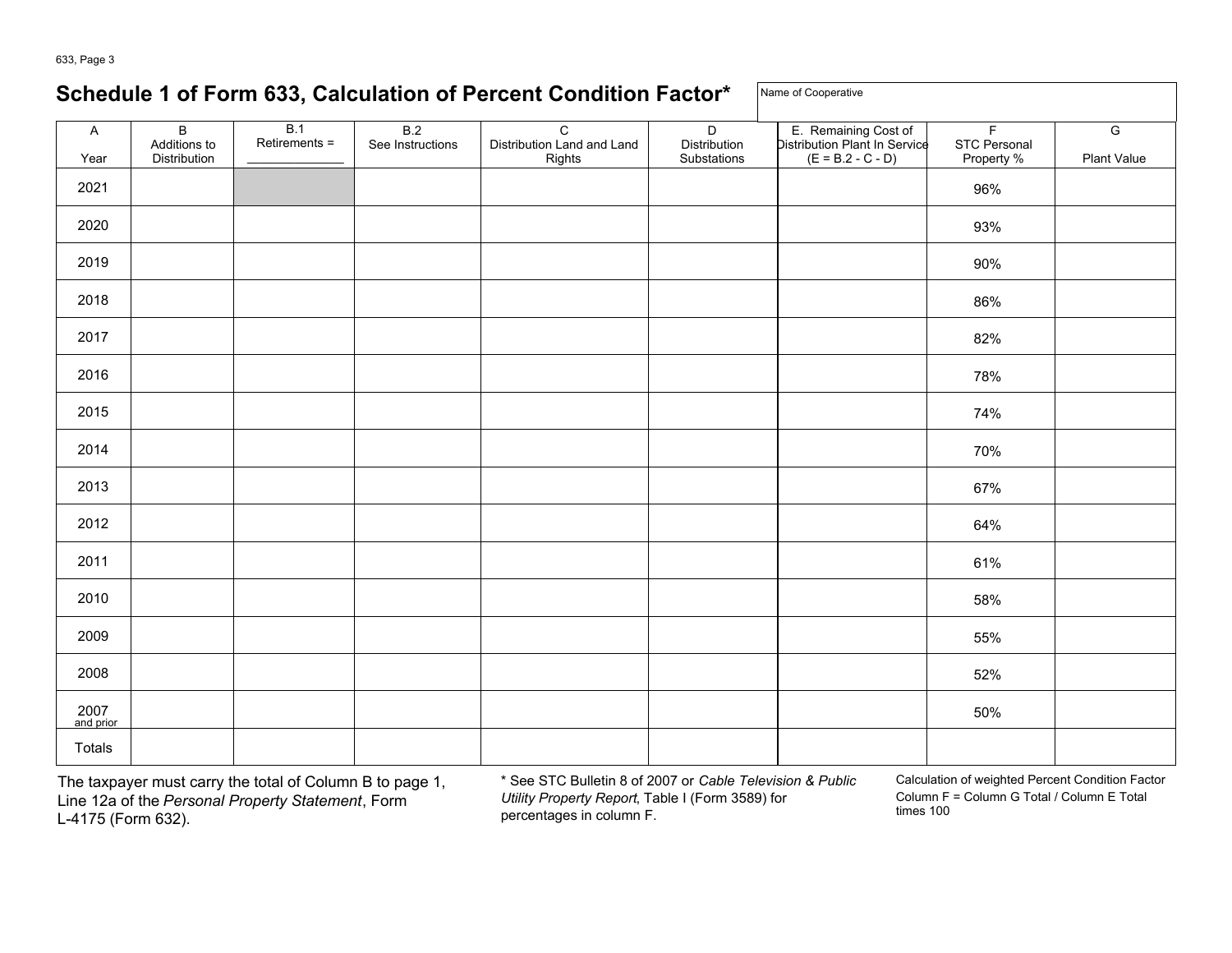# **Schedule 1 of Form 633, Calculation of Percent Condition Factor\*** Name of Cooperative

| A                | $\mathsf B$<br>Additions to | B.1<br>Retirements = | B.2<br>See Instructions | $\mathbf C$<br>Distribution Land and Land | $\overline{D}$<br>Distribution | E. Remaining Cost of<br>Distribution Plant In Service | $\mathsf F$<br>STC Personal | $\overline{G}$ |
|------------------|-----------------------------|----------------------|-------------------------|-------------------------------------------|--------------------------------|-------------------------------------------------------|-----------------------------|----------------|
| Year             | Distribution                |                      |                         | Rights                                    | Substations                    | $(E = B.2 - C - D)$                                   | Property %                  | Plant Value    |
| 2021             |                             |                      |                         |                                           |                                |                                                       | 96%                         |                |
| 2020             |                             |                      |                         |                                           |                                |                                                       | 93%                         |                |
| 2019             |                             |                      |                         |                                           |                                |                                                       | 90%                         |                |
| 2018             |                             |                      |                         |                                           |                                |                                                       | 86%                         |                |
| 2017             |                             |                      |                         |                                           |                                |                                                       | 82%                         |                |
| 2016             |                             |                      |                         |                                           |                                |                                                       | 78%                         |                |
| 2015             |                             |                      |                         |                                           |                                |                                                       | 74%                         |                |
| 2014             |                             |                      |                         |                                           |                                |                                                       | 70%                         |                |
| 2013             |                             |                      |                         |                                           |                                |                                                       | 67%                         |                |
| 2012             |                             |                      |                         |                                           |                                |                                                       | 64%                         |                |
| 2011             |                             |                      |                         |                                           |                                |                                                       | 61%                         |                |
| 2010             |                             |                      |                         |                                           |                                |                                                       | 58%                         |                |
| 2009             |                             |                      |                         |                                           |                                |                                                       | 55%                         |                |
| 2008             |                             |                      |                         |                                           |                                |                                                       | 52%                         |                |
| $2007$ and prior |                             |                      |                         |                                           |                                |                                                       | 50%                         |                |
| Totals           |                             |                      |                         |                                           |                                |                                                       |                             |                |

The taxpayer must carry the total of Column B to page 1, <br>Line 12a of the Personal Property Statement. Form Utility Property Report, Table I (Form 3589) for Column F = Column G Total / Column E Total Column F = Column F Total *Personal Property Statement*, Form *Utility Property Report*, Table I (Form 3589) for column F<br>1-4175 (Form 632) times 100 L-4175 (Form 632).